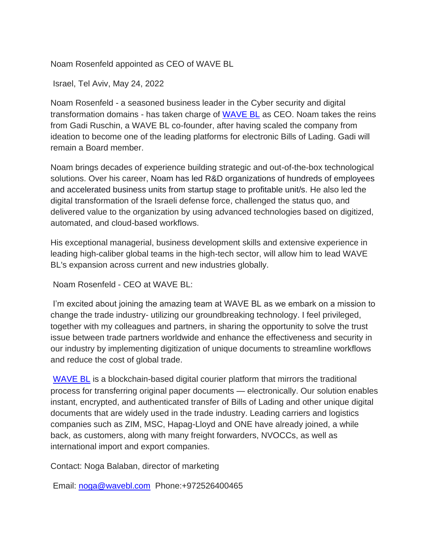Noam Rosenfeld appointed as CEO of WAVE BL

Israel, Tel Aviv, May 24, 2022

Noam Rosenfeld - a seasoned business leader in the Cyber security and digital transformation domains - has taken charge of [WAVE BL](https://wavebl.com/) as CEO. Noam takes the reins from Gadi Ruschin, a WAVE BL co-founder, after having scaled the company from ideation to become one of the leading platforms for electronic Bills of Lading. Gadi will remain a Board member.

Noam brings decades of experience building strategic and out-of-the-box technological solutions. Over his career, Noam has led R&D organizations of hundreds of employees and accelerated business units from startup stage to profitable unit/s. He also led the digital transformation of the Israeli defense force, challenged the status quo, and delivered value to the organization by using advanced technologies based on digitized, automated, and cloud-based workflows.

His exceptional managerial, business development skills and extensive experience in leading high-caliber global teams in the high-tech sector, will allow him to lead WAVE BL's expansion across current and new industries globally.

Noam Rosenfeld - CEO at WAVE BL:

I'm excited about joining the amazing team at WAVE BL as we embark on a mission to change the trade industry- utilizing our groundbreaking technology. I feel privileged, together with my colleagues and partners, in sharing the opportunity to solve the trust issue between trade partners worldwide and enhance the effectiveness and security in our industry by implementing digitization of unique documents to streamline workflows and reduce the cost of global trade.

[WAVE BL](https://wavebl.com/) is a blockchain-based digital courier platform that mirrors the traditional process for transferring original paper documents — electronically. Our solution enables instant, encrypted, and authenticated transfer of Bills of Lading and other unique digital documents that are widely used in the trade industry. Leading carriers and logistics companies such as ZIM, MSC, Hapag-Lloyd and ONE have already joined, a while back, as customers, along with many freight forwarders, NVOCCs, as well as international import and export companies.

Contact: Noga Balaban, director of marketing

Email: [noga@wavebl.com](mailto:noga@wavebl.com) Phone:+972526400465